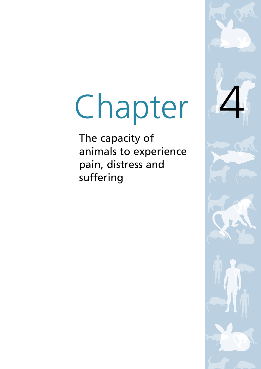# Chapter

The capacity of animals to experience pain, distress and suffering

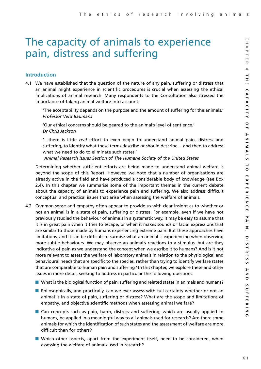# The capacity of animals to experience pain, distress and suffering

# **Introduction**

4.1 We have established that the question of the nature of any pain, suffering or distress that an animal might experience in scientific procedures is crucial when assessing the ethical implications of animal research. Many respondents to the Consultation also stressed the importance of taking animal welfare into account:

'The acceptability depends on the purpose and the amount of suffering for the animals.' *Professor Vera Baumans*

'Our ethical concerns should be geared to the animal's level of sentience.' *Dr Chris Jackson*

'…there is little *real* effort to even begin to understand animal pain, distress and suffering, to identify what these terms describe or should describe… and then to address what we need to do to eliminate such states.'

*Animal Research Issues Section of The Humane Society of the United States*

Determining whether sufficient efforts are being made to understand animal welfare is beyond the scope of this Report. However, we note that a number of organisations are already active in the field and have produced a considerable body of knowledge (see Box 2.4). In this chapter we summarise some of the important themes in the current debate about the capacity of animals to experience pain and suffering. We also address difficult conceptual and practical issues that arise when assessing the welfare of animals.

- 4.2 Common sense and empathy often appear to provide us with clear insight as to whether or not an animal is in a state of pain, suffering or distress. For example, even if we have not previously studied the behaviour of animals in a systematic way, it may be easy to assume that it is in great pain when it tries to escape, or when it makes sounds or facial expressions that are similar to those made by humans experiencing extreme pain. But these approaches have limitations, and it can be difficult to surmise what an animal is experiencing when observing more subtle behaviours. We may observe an animal's reactions to a stimulus, but are they indicative of pain as we understand the concept when we ascribe it to humans? And is it not more relevant to assess the welfare of laboratory animals in relation to the physiological and behavioural needs that are specific to the species, rather than trying to identify welfare states that are comparable to human pain and suffering? In this chapter, we explore these and other issues in more detail, seeking to address in particular the following questions:
	- What is the biological function of pain, suffering and related states in animals and humans?
	- Philosophically, and practically, can we ever assess with full certainty whether or not an animal is in a state of pain, suffering or distress? What are the scope and limitations of empathy, and objective scientific methods when assessing animal welfare?
	- Can concepts such as pain, harm, distress and suffering, which are usually applied to humans, be applied in a meaningful way to all animals used for research? Are there some animals for which the identification of such states and the assessment of welfare are more difficult than for others?
	- Which other aspects, apart from the experiment itself, need to be considered, when assessing the welfare of animals used in research?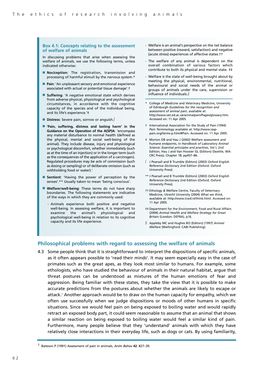#### **Box 4.1: Concepts relating to the assessment of welfare of animals**

In discussing problems that arise when assessing the welfare of animals, we use the following terms, unless indicated otherwise:

- **Nociception**: The registration, transmission and processing of harmful stimuli by the nervous system.\*
- **Pain**: 'An unpleasant sensory and emotional experience associated with actual or potential tissue damage'.†
- **Suffering**: 'A negative emotional state which derives from adverse physical, physiological and psychological circumstances, in accordance with the cognitive capacity of the species and of the individual being, and its life's experience.'‡
- **Distress**: Severe pain, sorrow or anguish.∫
- 'Pain, suffering, distress and lasting harm' in the **Guidance on the Operation of the A(SP)A**: 'encompass any material disturbance to normal health (defined as the physical, mental and social well-being of the animal). They include disease, injury and physiological or psychological discomfort, whether immediately (such as at the time of an injection) or in the longer term (such as the consequences of the application of a carcinogen). Regulated procedures may be acts of commission (such as dosing or sampling) or of deliberate omission (such as withholding food or water).'
- **Sentient**: 'Having the power of perception by the senses'.\*\* Usually taken to mean 'being conscious'.
- **Welfare/well-being**: These terms do not have sharp boundaries. The following statements are indicative of the ways in which they are commonly used:
	- Animals experience both positive and negative well-being. In assessing welfare, it is important to examine the animal's physiological and psychological well-being in relation to its cognitive capacity and its life experience.
- Welfare is an animal's perspective on the net balance between positive (reward, satisfaction) and negative (acute stress) experiences of affective states.††
- The welfare of any animal is dependent on the overall combination of various factors which contribute to both its physical and mental state. ‡‡
- Welfare is the state of well-being brought about by meeting the physical, environmental, nutritional, behavioural and social needs of the animal or groups of animals under the care, supervision or influence of individuals.∫∫
- College of Medicine and Veterinary Medicine, University of Edinburgh *Guidelines for the recognition and assessment of animal pain*, available at: http://www.vet.ed.ac.uk/animalpain/Pages/glossary.htm. Accessed on: 11 Apr 2005.
- † International Association for the Study of Pain (1994) *Pain Terminology* available at: http://www.iasppain.org/terms-p.html#Pain. Accessed on: 11 Apr 2005.
- ‡ Morton DB and Hau J (2002) Welfare assessment and humane endpoints, in *Handbook of Laboratory Animal Science: Essential principles and practices*, Vol I, 2nd Edition, Hau J and Van Hoosier GL (Editors) (Seattle, WA: CRC Press), Chapter 18, pp457–86.
- ∫ J Pearsall and B Trumble (Editors) (2003) *Oxford English Reference Dictionar*y 2nd Edition (Oxford: Oxford University Press).
- \*\* J Pearsall and B Trumble (Editors) (2003) *Oxford English Reference Dictionary* 2nd Edition (Oxford: Oxford University Press).
- †† Ethology & Welfare Centre, Faculty of Veterinary Medicine, Utrecht University (2004) *What we think*, available at: http://www.icwd.nl/think.html. Accessed on: 11 Apr 2005.
- ‡‡ Department for the Environment, Food and Rural Affairs (2004) *Animal Health and Welfare Strategy for Great Britain* (London: DEFRA), p16.
- ∫∫ Appleby MC and Hughes BO (Editors) (1997) *Animal Welfare* (Wallingford: CABI Publishing).

# **Philosophical problems with regard to assessing the welfare of animals**

4.3 Some people think that it is straightforward to interpret the dispositions of specific animals, as it often appears possible to 'read their minds'. It may seem especially easy in the case of primates such as the great apes, as they look most similar to humans. For example, some ethologists, who have studied the behaviour of animals in their natural habitat, argue that threat postures can be understood as mixtures of the human emotions of fear and aggression. Being familiar with these states, they take the view that it is possible to make accurate predictions from the postures about whether the animals are likely to escape or attack.<sup>1</sup> Another approach would be to draw on the human capacity for empathy, which we often use successfully when we judge dispositions or moods of other humans in specific situations. Since we would feel pain on being exposed to boiling water and would rapidly retract an exposed body part, it could seem reasonable to assume that an animal that shows a similar reaction on being exposed to boiling water would feel a similar kind of pain. Furthermore, many people believe that they 'understand' animals with which they have relatively close interactions in their everyday life, such as dogs or cats. By using familiarity,

<sup>1</sup> Bateson P (1991) Assessment of pain in animals, *Anim Behav* **42**: 827–39.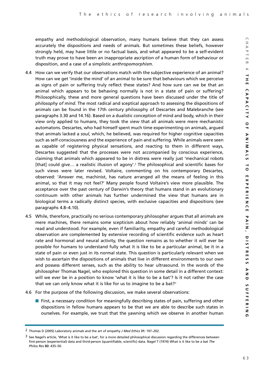empathy and methodological observation, many humans believe that they can assess accurately the dispositions and needs of animals. But sometimes these beliefs, however strongly held, may have little or no factual basis, and what appeared to be a self-evident truth may prove to have been an inappropriate ascription of a human form of behaviour or disposition, and a case of a simplistic *anthropomorphism*.

- 4.4 How can we verify that our observations match with the subjective experience of an animal? How can we get 'inside the mind' of an animal to be sure that behaviours which we perceive as signs of pain or suffering truly reflect these states? And how sure can we be that an animal which appears to be behaving normally is not in a state of pain or suffering? Philosophically, these and more general questions have been discussed under the title of *philosophy of mind*. The most radical and sceptical approach to assessing the dispositions of animals can be found in the 17th century philosophy of Descartes and Malebranche (see paragraphs 3.30 and 14.16). Based on a dualistic conception of mind and body, which in their view only applied to humans, they took the view that all animals were mere mechanistic automatons. Descartes, who had himself spent much time experimenting on animals, argued that animals lacked a *soul*, which, he believed, was required for higher cognitive capacities such as self-consciousness and the experience of pain and suffering. While animals were seen as capable of registering physical sensations, and reacting to them in different ways, Descartes suggested that the processes were not accompanied by conscious experience, claiming that animals which appeared to be in distress were really just 'mechanical robots [that] could give... a realistic illusion of agony'.<sup>2</sup> The philosophical and scientific bases for such views were later revised. Voltaire, commenting on his contemporary Descartes, observed: 'Answer me, machinist, has nature arranged all the means of feeling in this animal, so that it may not feel?' Many people found Voltaire's view more plausible. The acceptance over the past century of Darwin's theory that humans stand in an evolutionary continuum with other animals has further undermined the view that humans are in biological terms a radically distinct species, with exclusive capacities and dispositions (see paragraphs 4.8–4.10).
- 4.5 While, therefore, practically no serious contemporary philosopher argues that all animals are mere machines, there remains some scepticism about how reliably 'animal minds' can be read and understood. For example, even if familiarity, empathy and careful methodological observation are complemented by extensive recording of scientific evidence such as heart rate and hormonal and neural activity, the question remains as to whether it will ever be possible for humans to understand fully what it is like to be a particular animal, be it in a state of pain or even just in its normal state. This question is particularly relevant when we wish to ascertain the dispositions of animals that live in different environments to our own and possess different senses, such as the ability to hear ultrasound. In the words of the philosopher Thomas Nagel, who explored this question in some detail in a different context: will we ever be in a position to know 'what it is like to be a bat'? Is it not rather the case that we can only know what it is like for us to imagine to be a bat?<sup>3</sup>
- 4.6 For the purpose of the following discussion, we make several observations:
	- First, a necessary condition for meaningfully describing states of pain, suffering and other dispositions in fellow humans appears to be that we are able to describe such states in ourselves. For example, we trust that the yawning which we observe in another human

<sup>2</sup> Thomas D (2005) Laboratory animals and the art of empathy *J Med Ethics* **31**: 197–202.

 $3$  See Nagel's article, 'What is it like to be a bat', for a more detailed philosophical discussion regarding the differences between first-person (experiential) data and third-person (quantifiable, scientific) data. Nagel T (1974) What is it like to be a bat *The Philos Rev* **83**: 435–50.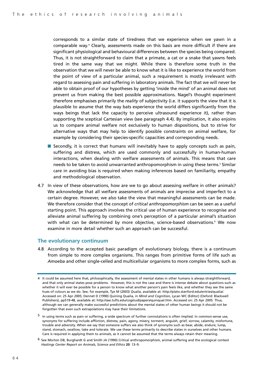corresponds to a similar state of tiredness that we experience when we yawn in a comparable way.<sup>4</sup> Clearly, assessments made on this basis are more difficult if there are significant physiological and behavioural differences between the species being compared. Thus, it is not straightforward to claim that a primate, a cat or a snake that yawns feels tired in the same way that we might. While there is therefore some truth in the observation that we will never be able to know what it is like to experience the world from the point of view of a particular animal, such a requirement is mostly irrelevant with regard to assessing pain and suffering in laboratory animals. The fact that we will never be able to obtain proof of our hypotheses by getting 'inside the mind' of an animal does not prevent us from making the best possible approximations. Nagel's thought experiment therefore emphasises primarily the *reality* of subjectivity (i.e. it supports the view that it is plausible to assume that the way bats experience the world differs significantly from the ways beings that lack the capacity to perceive ultrasound experience it), rather than supporting the sceptical Cartesian view (see paragraph 4.4). By implication, it also enjoins us to compare animal welfare not exclusively to human dispositions, but to strive for alternative ways that may help to identify possible constraints on animal welfare, for example by considering their species-specific capacities and corresponding needs.

- Secondly, it is correct that humans will inevitably have to apply concepts such as pain, suffering and distress, which are used commonly and successfully in human-human interactions, when dealing with welfare assessments of animals. This means that care needs to be taken to avoid unwarranted anthropomorphism in using these terms.<sup>5</sup> Similar care in avoiding bias is required when making inferences based on familiarity, empathy and methodological observation.
- 4.7 In view of these observations, how are we to go about assessing welfare in other animals? We acknowledge that all welfare assessments of animals are imprecise and imperfect to a certain degree. However, we also take the view that meaningful assessments can be made. We therefore consider that the concept of *critical anthropomorphism* can be seen as a useful starting point. This approach involves the critical use of human experience to recognise and alleviate animal suffering by combining one's perception of a particular animal's situation with what can be determined by more objective, science-based observations.<sup>6</sup> We now examine in more detail whether such an approach can be successful.

# **The evolutionary continuum**

4.8 According to the accepted basic paradigm of evolutionary biology, there is a continuum from simple to more complex organisms. This ranges from primitive forms of life such as *Amoeba* and other single-celled and multicellular organisms to more complex forms, such as

<sup>4</sup> It could be assumed here that, philosophically, the assessment of mental states in other humans is always straightforward, and that only animal states pose problems. However, this is not the case and there is intense debate about questions such as whether it will ever be possible for a person to know what another person's pain feels like, and whether they see the same hues of colours as we do. See, for example, Tye M (2003) *Qualia*, available at: http://plato.stanford.edu/entries/qualia/. Accessed on: 25 Apr 2005; Dennet D (1990) Quining Qualia, in *Mind and Cognition*, Lycan WC (Editor) (Oxford: Blackwell Publishers), pp519-48, available at: http://ase.tufts.edu/cogstud/papers/quinqual.htm. Accessed on: 25 Apr 2005. Thus, although we can generally make successful predictions about the mental states of other human beings it should not be forgotten that even such extrapolations may have their limitations.

<sup>5</sup> In using terms such as pain or suffering, a wide spectrum of further connotations is often implied. In common-sense use, synonyms for suffering include affliction, distress, pain, agony, misery, torment, anguish, grief, sorrow, calamity, misfortune, trouble and adversity. When we say that someone suffers we also think of synonyms such as bear, abide, endure, lump, stand, stomach, swallow, take and tolerate. We use these terms primarily to describe states in ourselves and other humans. Care is required in applying them to animals, as it cannot be assumed that the terms always retain their meaning.

<sup>6</sup> See Morton DB, Burghardt G and Smith JA (1990) Critical anthropomorphism, animal suffering and the ecological context *Hastings Center Report on Animals, Science and Ethics* **20**: 13–9.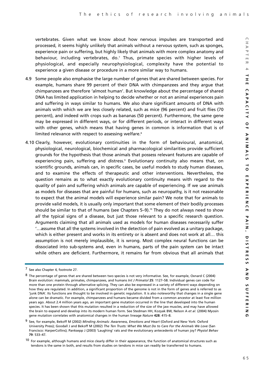vertebrates. Given what we know about how nervous impulses are transported and processed, it seems highly unlikely that animals without a nervous system, such as sponges, experience pain or suffering, but highly likely that animals with more complex anatomy and behaviour, including vertebrates, do.<sup>7</sup> Thus, primate species with higher levels of physiological, and especially neurophysiological, complexity have the potential to experience a given disease or procedure in a more similar way to humans.

- 4.9 Some people also emphasise the large number of genes that are shared between species. For example, humans share 99 percent of their DNA with chimpanzees and they argue that chimpanzees are therefore 'almost human'. But knowledge about the percentage of shared DNA has limited application in helping to decide whether or not an animal experiences pain and suffering in ways similar to humans. We also share significant amounts of DNA with animals with which we are less closely related, such as mice (96 percent) and fruit flies (70 percent), and indeed with crops such as bananas (50 percent). Furthermore, the same gene may be expressed in different ways, or for different periods, or interact in different ways with other genes, which means that having genes in common is information that is of limited relevance with respect to assessing welfare.<sup>8</sup>
- 4.10 Clearly, however, evolutionary continuities in the form of behavioural, anatomical, physiological, neurological, biochemical and pharmacological similarities provide sufficient grounds for the hypothesis that those animals that possess relevant features are capable of experiencing pain, suffering and distress.<sup>9</sup> Evolutionary continuity also means that, on scientific grounds, animals can, in specific cases, be useful models to study human diseases, and to examine the effects of therapeutic and other interventions. Nevertheless, the question remains as to what exactly evolutionary continuity means with regard to the *quality* of pain and suffering which animals are capable of experiencing. If we use animals as models for diseases that are painful for humans, such as neuropathy, is it not reasonable to expect that the animal models will experience similar pain? We note that for animals to provide valid models, it is usually only important that some element of their bodily processes should be similar to that of humans (see Chapters  $5-9$ ).<sup>10</sup> They do not always need to show *all* the typical signs of a disease, but just those relevant to a specific research question. Arguments claiming that all animals used as models for human diseases necessarily suffer '…assume that all the systems involved in the detection of pain evolved as a unitary package, which is either present and works in its entirety or is absent and does not work at all… this assumption is not merely implausible, it is wrong. Most complex neural functions can be dissociated into sub-systems and, even in humans, parts of the pain system can be intact while others are deficient. Furthermore, it remains far from obvious that all animals that

<sup>7</sup> See also Chapter 4, footnote 27.

<sup>8</sup> The percentage of genes that are shared between two species is not very informative. See, for example, Oxnard C (2004) Brain evolution: mammals, primates, chimpanzees, and humans *Int J Primatol* **25**: 1127–58. Individual genes can code for more than one protein through alternative splicing. They can also be expressed in a variety of different ways depending on how they are regulated. In addition, a significant proportion of the genome is not in the form of genes and is referred to as 'junk DNA'. Its functions are thought to be involved in genetic regulation. It is also noteworthy that changes in a single gene alone can be dramatic. For example, chimpanzees and humans became divided from a common ancestor at least five million years ago. About 2.4 million years ago, an important gene mutation occurred in the line that developed into the human species. It has been shown that this mutation resulted in a reduction of the size of the jaw muscles, and may have allowed the brain to expand and develop into its modern human form. See Stedman HH, Kozyak BW, Nelson A *et al*. (2004) Myosin gene mutation correlates with anatomical changes in the human lineage *Nature* **428**: 415–8.

<sup>9</sup> See, for example, Bekoff M (2002) *Minding Animals: Awareness, Emotions and Heart* (Oxford and New York: Oxford University Press); Goodall J and Bekoff M (2002) *The Ten Trusts: What We Must Do to Care For the Animals We Love* (San Francisco: HarperCollins); Panksepp J (2003) 'Laughing' rats and the evolutionary antecedents of human joy? *Physiol Behav* **79**: 533–47.

 $10$  For example, although humans and mice clearly differ in their appearance, the function of anatomical structures such as tendons is the same in both, and results from studies on tendons in mice can readily be transferred to humans.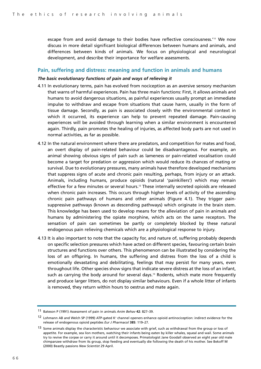escape from and avoid damage to their bodies have reflective consciousness.<sup>'11</sup> We now discuss in more detail significant biological differences between humans and animals, and differences between kinds of animals. We focus on physiological and neurological development, and describe their importance for welfare assessments.

#### **Pain, suffering and distress: meaning and function in animals and humans**

#### *The basic evolutionary functions of pain and ways of relieving it*

- 4.11 In evolutionary terms, pain has evolved from nociception as an aversive sensory mechanism that warns of harmful experiences. Pain has three main functions: First, it allows animals and humans to avoid dangerous situations, as painful experiences usually prompt an immediate impulse to withdraw and escape from situations that cause harm, usually in the form of tissue damage. Secondly, as pain is associated closely with the environmental context in which it occurred, its experience can help to prevent repeated damage. Pain-causing experiences will be avoided through learning when a similar environment is encountered again. Thirdly, pain promotes the healing of injuries, as affected body parts are not used in normal activities, as far as possible.
- 4.12 In the natural environment where there are predators, and competition for mates and food, an overt display of pain-related behaviour could be disadvantageous. For example, an animal showing obvious signs of pain such as lameness or pain-related vocalisation could become a target for predation or aggression which would reduce its chances of mating or survival. Due to evolutionary pressures, many animals have therefore developed mechanisms that suppress signs of acute and chronic pain resulting, perhaps, from injury or an attack. Animals, including humans, produce opioids (natural 'painkillers') which may remain effective for a few minutes or several hours.<sup>12</sup> These internally secreted opioids are released when chronic pain increases. This occurs through higher levels of activity of the ascending chronic pain pathways of humans and other animals (Figure 4.1). They trigger painsuppressive pathways (known as descending pathways) which originate in the brain stem. This knowledge has been used to develop means for the alleviation of pain in animals and humans by administering the opiate morphine, which acts on the same receptors. The sensation of pain can sometimes be partly or completely blocked by these natural endogenous pain relieving chemicals which are a physiological response to injury.
- 4.13 It is also important to note that the capacity for, and nature of, suffering probably depends on specific selection pressures which have acted on different species, favouring certain brain structures and functions over others. This phenomenon can be illustrated by considering the loss of an offspring. In humans, the suffering and distress from the loss of a child is emotionally devastating and debilitating, feelings that may persist for many years, even throughout life. Other species show signs that indicate severe distress at the loss of an infant, such as carrying the body around for several days.<sup>13</sup> Rodents, which mate more frequently and produce larger litters, do not display similar behaviours. Even if a whole litter of infants is removed, they return within hours to oestrus and mate again.

<sup>11</sup> Bateson P (1991) Assessment of pain in animals *Anim Behav* **42**: 827–39.

 $12$  Lohmann AB and Welch SP (1999) ATP-gated K<sup>+</sup> channel openers enhance opioid antinociception: indirect evidence for the release of endogenous opioid peptides *Eur J Pharmacol* **385**: 119–27.

<sup>&</sup>lt;sup>13</sup> Some animals display the characteristic behaviour we associate with grief, such as withdrawal from the group or loss of appetite. For example, sea lion mothers, watching their infants being eaten by killer whales, squeal and wail. Some animals try to revive the corpse or carry it around until it decomposes. Primatologist Jane Goodall observed an eight year old male chimpanzee withdraw from its group, stop feeding and eventually die following the death of his mother. See Bekoff M (2000) Beastly passions *New Scientist* 29 April.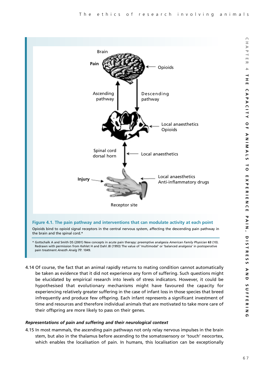

\* Gottschalk A and Smith DS (2001) New concepts in acute pain therapy: preemptive analgesia *American Family Physician* **63** (10). Redrawn with permission from Kehlet H and Dahl JB (1993) The value of 'multimodal' or 'balanced analgesia' in postoperative pain treatment *Anesth Analg* **77**: 1049.

4.14 Of course, the fact that an animal rapidly returns to mating condition cannot automatically be taken as evidence that it did not experience any form of suffering. Such questions might be elucidated by empirical research into levels of stress indicators. However, it could be hypothesised that evolutionary mechanisms might have favoured the capacity for experiencing relatively greater suffering in the case of infant loss in those species that breed infrequently and produce few offspring. Each infant represents a significant investment of time and resources and therefore individual animals that are motivated to take more care of their offspring are more likely to pass on their genes.

# *Representations of pain and suffering and their neurological context*

4.15 In most mammals, the ascending pain pathways not only relay nervous impulses in the brain stem, but also in the thalamus before ascending to the somatosensory or 'touch' neocortex, which enables the localisation of pain. In humans, this localisation can be exceptionally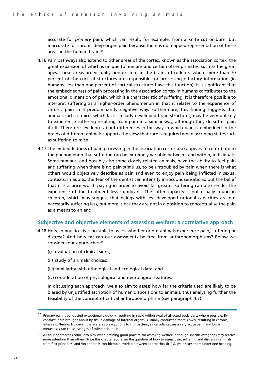accurate for *primary* pain, which can result, for example, from a knife cut or burn, but inaccurate for chronic deep-organ pain because there is no mapped representation of these areas in the human brain.14

- 4.16 Pain pathways also extend to other areas of the cortex, known as the association cortex, the great expansion of which is unique to humans and certain other primates, such as the great apes. These areas are virtually non-existent in the brains of rodents, where more than 70 percent of the cortical structures are responsible for processing olfactory information (in humans, less than one percent of cortical structures have this function). It is significant that the embeddedness of pain processing in the association cortex in humans contributes to the emotional dimension of pain, which is a characteristic of suffering. It is therefore possible to interpret suffering as a higher-order phenomenon in that it relates to the experience of chronic pain in a predominantly negative way. Furthermore, this finding suggests that animals such as mice, which lack similarly developed brain structures, may be very unlikely to experience suffering resulting from pain in a similar way, although they do suffer pain itself. Therefore, evidence about differences in the way in which pain is embedded in the brains of different animals supports the view that care is required when ascribing states such as suffering to mice.
- 4.17 The embeddedness of pain processing in the association cortex also appears to contribute to the phenomenon that suffering can be extremely variable between, and within, individuals. Some humans, and possibly also some closely related animals, have the ability to feel pain and suffering when there is no pain stimulus, to be untroubled by pain when there is what others would objectively describe as pain and even to enjoy pain being inflicted in sexual contexts. In adults, the fear of the dentist can intensify innocuous sensations, but the belief that it is a price worth paying in order to avoid far greater suffering can also render the experience of the treatment less significant. The latter capacity is not usually found in children, which may suggest that beings with less developed rational capacities are not necessarily suffering less, but more, since they are not in a position to conceptualise the pain as a means to an end.

# **Subjective and objective elements of assessing welfare: a correlative approach**

- 4.18 How, in practice, is it possible to assess whether or not animals experience pain, suffering or distress? And how far can our assessments be free from anthropomorphisms? Below we consider four approaches:15
	- (i) evaluation of clinical signs;
	- (ii) study of animals' choices;
	- (iii) familiarity with ethological and ecological data; and
	- (iv) consideration of physiological and neurological features.

In discussing each approach, we also aim to assess how far the criteria used are likely to be biased by unjustified ascription of human dispositions to animals, thus analysing further the feasibility of the concept of critical anthropomorphism (see paragraph 4.7).

<sup>14</sup> Primary pain is conducted exceptionally quickly, resulting in rapid withdrawal of affected body parts where possible. By contrast, pain brought about by tissue damage of internal organs is usually conducted more slowly, resulting in chronic, intense suffering. However, there are also exceptions to this pattern, since colic causes a very acute pain, and bone metastases can cause twinges of substantial pain.

<sup>15</sup> All four approaches come into play when defining good practice for assessing welfare, although specific categories may receive more attention than others. Since this chapter addresses the question of how to assess pain, suffering and distress in animals from first principles, and since there is considerable overlap between approaches (i)–(iv), we discuss them under one heading.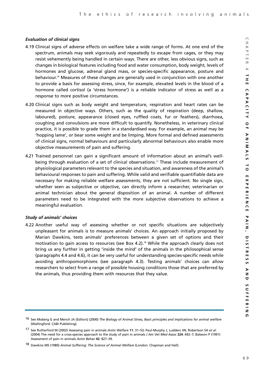# *Evaluation of clinical signs*

- 4.19 Clinical signs of adverse effects on welfare take a wide range of forms. At one end of the spectrum, animals may seek vigorously and repeatedly to escape from cages, or they may resist vehemently being handled in certain ways. There are other, less obvious signs, such as changes in biological features including food and water consumption, body weight, levels of hormones and glucose, adrenal gland mass, or species-specific appearance, posture and behaviour.16 Measures of these changes are generally used in conjunction with one another to provide a basis for assessing stress, since, for example, elevated levels in the blood of a hormone called cortisol (a 'stress hormone') is a reliable indicator of stress as well as a response to more positive circumstances.
- 4.20 Clinical signs such as body weight and temperature, respiration and heart rates can be measured in objective ways. Others, such as the quality of respiration (deep, shallow, laboured), posture, appearance (closed eyes, ruffled coats, fur or feathers), diarrhoea, coughing and convulsions are more difficult to quantify. Nonetheless, in veterinary clinical practice, it is possible to grade them in a standardised way. For example, an animal may be 'hopping lame', or bear some weight and be limping. More formal and defined assessments of clinical signs, normal behaviours and particularly abnormal behaviours also enable more objective measurements of pain and suffering.
- 4.21 Trained personnel can gain a significant amount of information about an animal's wellbeing through evaluation of a set of clinical observations.17 These include measurement of physiological parameters relevant to the species and situation, and awareness of the animal's behavioural responses to pain and suffering. While valid and verifiable quantifiable data are necessary for making reliable welfare assessments, they are not sufficient. No single sign, whether seen as subjective or objective, can directly inform a researcher, veterinarian or animal technician about the general disposition of an animal. A number of different parameters need to be integrated with the more subjective observations to achieve a meaningful evaluation.

# *Study of animals' choices*

4.22 Another useful way of assessing whether or not specific situations are subjectively unpleasant for animals is to measure animals' choices. An approach initially proposed by Marian Dawkins, tests animals' preferences between a given set of options and their motivation to gain access to resources (see Box 4.2).<sup>18</sup> While the approach clearly does not bring us any further in getting 'inside the mind' of the animals in the philosophical sense (paragraphs 4.4 and 4.6), it can be very useful for understanding species-specific needs while avoiding anthropomorphisms (see paragraph 4.3). Testing animals' choices can allow researchers to select from a range of possible housing conditions those that are preferred by the animals, thus providing them with resources that they value.

 $\bigcap$ 

<sup>16</sup> See Moberg G and Mench JA (Editors) (2000) *The Biology of Animal Stress, Basic principles and implications for animal welfare* (Wallingford: CABI Publishing).

<sup>17</sup> See Rutherford M (2002) Assessing pain in animals *Anim Welfare* **11**: 31–53; Paul-Murphy J, Ludders JW, Robertson SA *et al*. (2004) The need for a cross-species approach to the study of pain in animals *J Am Vet Med Assoc* **224**: 692–7; Bateson P (1991) Assessment of pain in animals *Anim Behav* **42**: 827–39.

<sup>18</sup> Dawkins MS (1980) *Animal Suffering: The Science of Animal Welfare* (London: Chapman and Hall).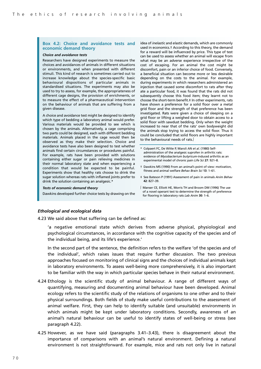#### **Box 4.2: Choice and avoidance tests and economic demand theory**

#### *Choice and avoidance tests*

Researchers have designed experiments to measure the choices and avoidances of animals in different situations or environments, and when presented with different stimuli. This kind of research is sometimes carried out to increase knowledge about the species-specific basic behavioural dispositions of particular animals in standardised situations. The experiments may also be used to try to assess, for example, the appropriateness of different cage designs, the provision of enrichments, or to measure the effect of a pharmaceutical intervention on the behaviour of animals that are suffering from a given disease.

A choice and avoidance test might be designed to identify which type of bedding a laboratory animal would prefer. Various materials would be provided to see which is chosen by the animals. Alternatively, a cage comprising two parts could be designed, each with different bedding materials. Animals placed in the cage would then be observed as they make their selection. Choice and avoidance tests have also been designed to test whether animals find certain circumstances or procedures painful. For example, rats have been provided with solutions containing either sugar or pain relieving medicines in their normal laboratory state and when experiencing a condition that would be expected to be painful. Experiments show that healthy rats choose to drink the sugar solution whereas rats with inflamed joints prefer to drink the solution containing an analgesic.\*

#### *Tests of economic demand theory*

Dawkins developed further choice tests by drawing on the

idea of *inelastic* and *elastic* demands, which are commonly used in economics.† According to this theory, the demand for a reward will be influenced by price. This type of test can be used to assess whether an animal will escape from what may be an adverse experience irrespective of the cost of escaping. For an animal the cost might be discomfort, pain or an inferior choice of food. Conversely, a beneficial situation can become more or less desirable depending on the costs to the animal. For example, during experiments in which researchers administered an injection that caused some discomfort to rats after they ate a particular food, it was found that the rats did not subsequently choose this food item; they learnt not to choose the short-term benefit.‡ In other experiments, rats have shown a preference for a solid floor over a metal grid floor and the strength of that preference has been investigated. Rats were given a choice of sleeping on a grid floor or lifting a weighed door to obtain access to a solid floor with sawdust bedding. Only when the weight increased to near that of the rats' own bodyweight did the animals stop trying to access the solid floor. Thus it could be concluded that solid floors are highly important to the behavioural needs of rats.∫

- \* Colpaert FC, De Witte P, Maroli AN *et al*. (1980) Selfadministration of the analgesic suprofen in arthritic rats: evidence of *Mycobacterium butyricum*-induced arthritis as an experimental model of chronic pain *Life Sci* **27**: 921–8.
- † Dawkins MS (1990) From an animal's point of view: motivation, fitness and animal welfare *Behav Brain Sci* **13**: 1–61.
- ‡ See Bateson P (1991) Assessment of pain in animals *Anim Behav* **42**: 827–39.
- ∫ Manser CE, Elliott HE, Morris TH and Broom DM (1996) The use of a novel operant test to determine the strength of preference for flooring in laboratory rats *Lab Anim* **30**: 1–6.

#### *Ethological and ecological data*

4.23 We said above that suffering can be defined as:

'a negative emotional state which derives from adverse physical, physiological and psychological circumstances, in accordance with the cognitive capacity of the species and of the individual being, and its life's experience.'

In the second part of the sentence, the definition refers to the welfare 'of the species and of the individual', which raises issues that require further discussion. The two previous approaches focused on monitoring of clinical signs and the choices of individual animals kept in laboratory environments. To assess well-being more comprehensively, it is also important to be familiar with the way in which particular species behave in their natural environment.

- 4.24 Ethology is the scientific study of animal behaviour. A range of different ways of quantifying, measuring and documenting animal behaviour have been developed. Animal ecology refers to the scientific study of the relations of organisms to one other and to their physical surroundings. Both fields of study make useful contributions to the assessment of animal welfare. First, they can help to identify suitable (and unsuitable) environments in which animals might be kept under laboratory conditions. Secondly, awareness of an animal's natural behaviour can be useful to identify states of well-being or stress (see paragraph 4.22).
- 4.25 However, as we have said (paragraphs 3.41–3.43), there is disagreement about the importance of comparisons with an animal's natural environment. Defining a natural environment is not straightforward. For example, mice and rats not only live in natural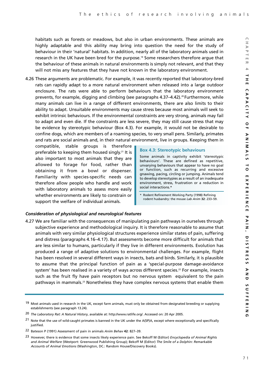habitats such as forests or meadows, but also in urban environments. These animals are highly adaptable and this ability may bring into question the need for the study of behaviour in their 'natural' habitats. In addition, nearly all of the laboratory animals used in research in the UK have been bred for the purpose.<sup>19</sup> Some researchers therefore argue that the behaviour of these animals in natural environments is simply not relevant, and that they will not miss any features that they have not known in the laboratory environment.

4.26 These arguments are problematic. For example, it was recently reported that laboratory-bred rats can rapidly adapt to a more natural environment when released into a large outdoor enclosure. The rats were able to perform behaviours that the laboratory environment prevents, for example, digging and climbing (see paragraphs 4.37–4.42).<sup>20</sup> Furthermore, while many animals can live in a range of different environments, there are also limits to their ability to adapt. Unsuitable environments may cause stress because most animals will seek to exhibit intrinsic behaviours. If the environmental constraints are very strong, animals may fail to adapt and even die. If the constraints are less severe, they may still cause stress that may be evidence by stereotypic behaviour (Box 4.3). For example, it would not be desirable to confine dogs, which are members of a roaming species, to very small pens. Similarly, primates and rats are social animals and, in their natural environment, live in groups. Keeping them in

compatible, stable groups is therefore preferable to keeping them housed singly.21 It is also important to most animals that they are allowed to forage for food, rather than obtaining it from a bowl or dispenser. Familiarity with species-specific needs can therefore allow people who handle and work with laboratory animals to assess more easily whether environments are likely to constrain or support the welfare of individual animals.

#### **Box 4.3: Stereotypic behaviours**

Some animals in captivity exhibit 'stereotypic behaviours'. These are defined as repetitive, unvarying behaviours that appear to have no goal or function, such as recurring and excessive gnawing, pacing, circling or jumping. Animals tend to develop stereotypies as a result of an inadequate environment, stress, frustration or a reduction in social interactions.\*

\* Rodent Refinement Working Party (1998) Refining rodent husbandry: the mouse *Lab Anim* **32**: 233–59.

# *Consideration of physiological and neurological features*

4.27 We are familiar with the consequences of manipulating pain pathways in ourselves through subjective experience and methodological inquiry. It is therefore reasonable to assume that animals with very similar physiological structures experience similar states of pain, suffering and distress (paragraphs 4.16–4.17). But assessments become more difficult for animals that are less similar to humans, particularly if they live in different environments. Evolution has produced a range of adaptive solutions to environmental challenges. For example, flight has been resolved in several different ways in insects, bats and birds. Similarly, it is plausible to assume that the principal function of pain as a 'special-purpose damage-avoidance system' has been realised in a variety of ways across different species.<sup>22</sup> For example, insects such as the fruit fly have pain receptors but no nervous system equivalent to the pain pathways in mammals.23 Nonetheless they have complex nervous systems that enable them

<sup>19</sup> Most animals used in research in the UK, except farm animals, must only be obtained from designated breeding or supplying establishments (see paragraph 13.24).

<sup>20</sup> *The Laboratory Rat: A Natural History*, available at: http://www.ratlife.org/. Accessed on: 20 Apr 2005.

<sup>21</sup> Note that the use of wild-caught primates is banned in the UK under the A(SP)A, except where exceptionally and specifically justified.

<sup>22</sup> Bateson P (1991) Assessment of pain in animals *Anim Behav* **42**: 827–39.

<sup>23</sup> However, there is evidence that some insects likely experience pain. See Bekoff M (Editor) *Encyclopedia of Animal Rights and Animal Welfare* (Westport: Greenwood Publishing Group); Bekoff M (Editor) *The Smile of a Dolphin: Remarkable Accounts of Animal Emotions* (Washington, DC.: Random House/Discovery Books).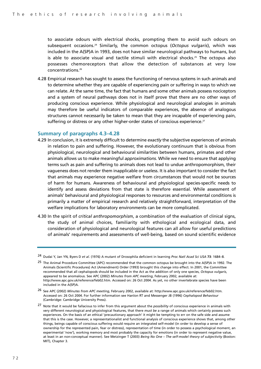to associate odours with electrical shocks, prompting them to avoid such odours on subsequent occasions.24 Similarly, the common octopus (*Octopus vulgaris*), which was included in the A(SP)A in 1993, does not have similar neurological pathways to humans, but is able to associate visual and tactile stimuli with electrical shocks.<sup>25</sup> The octopus also possesses chemoreceptors that allow the detection of substances at very low concentrations.26

4.28 Empirical research has sought to assess the functioning of nervous systems in such animals and to determine whether they are capable of experiencing pain or suffering in ways to which we can relate. At the same time, the fact that humans and some other animals possess nociceptors and a system of neural pathways does not in itself prove that there are no other ways of producing conscious experience. While physiological and neurological analogies in animals may therefore be useful indicators of comparable experiences, the absence of analogous structures cannot necessarily be taken to mean that they are incapable of experiencing pain, suffering or distress or any other higher-order states of conscious experience.<sup>27</sup>

# **Summary of paragraphs 4.3–4.28**

- 4.29 In conclusion, it is extremely difficult to determine *exactly* the subjective experiences of animals in relation to pain and suffering. However, the evolutionary continuum that is obvious from physiological, neurological and behavioural similarities between humans, primates and other animals allows us to make meaningful *approximations*. While we need to ensure that applying terms such as pain and suffering to animals does not lead to undue anthropomorphism, their vagueness does not render them inapplicable or useless. It is also important to consider the fact that animals may experience negative welfare from circumstances that would not be sources of harm for humans. Awareness of behavioural and physiological species-specific needs to identify and assess deviations from that state is therefore essential. While assessment of animals' behavioural and physiological responses to resources and environmental conditions is primarily a matter of empirical research and relatively straightforward, interpretation of the welfare implications for laboratory environments can be more complicated.
- 4.30 In the spirit of *critical anthropomorphism*, a combination of the evaluation of clinical signs, the study of animal choices, familiarity with ethological and ecological data, and consideration of physiological and neurological features can all allow for useful predictions of animals' requirements and assessments of well-being, based on sound scientific evidence

- 26 See APC (2002) *Minutes from APC meeting*, February 2002, available at: http://www.apc.gov.uk/reference/feb02.htm. Accessed on: 26 Oct 2004. For further information see Hanlon RT and Messenger JB (1996) *Cephalopod Behaviour* (Cambridge: Cambridge University Press).
- 27 Note that it would be fallacious to infer from this argument about the *possibility* of conscious experience in animals with very different neurological and physiological features, that there *must be* a range of animals which certainly possess such experiences. On the basis of an ethical 'precautionary approach' it might be tempting to err on the safe side and assume that this is the case. However, a representationalist and functional analysis of conscious experience shows that, among other things, beings capable of conscious suffering would require an integrated self-model (in order to develop a sense of ownership for the represented pain, fear or distress), representation of time (in order to possess a psychological moment, an experimental 'now'), working memory and most probably the capacity for emotions (in order to represent negative value, at least in an non-conceptual manner). See Metzinger T (2003) *Being No One – The self-model theory of subjectivity* (Boston: MIT), Chapter 3.

<sup>24</sup> Dudai Y, Jan YN, Byers D *et al*. (1976) A mutant of Drosophila deficient in learning *Proc Natl Acad Sci USA* **73**: 1684–8.

<sup>&</sup>lt;sup>25</sup> The Animal Procedure Committee (APC) recommended that the common octopus be brought into the A(SP)A in 1992. The Animals (Scientific Procedures) Act (Amendment) Order (1993) brought this change into effect. In 2001, the Committee recommended that all cephalopods should be included in the Act as the addition of only one species, *Octopus vulgaris*, appeared to be anomalous. See APC (2002) *Minutes from APC meeting*, February 2002, available at: http://www.apc.gov.uk/reference/feb02.htm. Accessed on: 26 Oct 2004. As yet, no other invertebrate species have been included in the A(SP)A.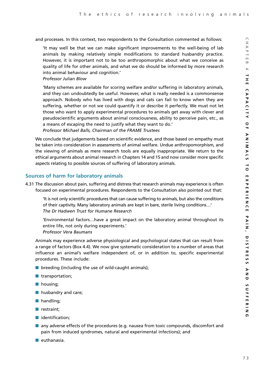and processes. In this context, two respondents to the Consultation commented as follows:

'It may well be that we can make significant improvements to the well-being of lab animals by making relatively simple modifications to standard husbandry practice. However, it is important not to be too anthropomorphic about what we conceive as quality of life for other animals, and what we do should be informed by more research into animal behaviour and cognition.'

*Professor Julian Blow*

'Many schemes are available for scoring welfare and/or suffering in laboratory animals, and they can undoubtedly be useful. However, what is really needed is a commonsense approach. Nobody who has lived with dogs and cats can fail to know when they are suffering, whether or not we could quantify it or describe it perfectly. We must not let those who want to apply experimental procedures to animals get away with clever and pseudoscientific arguments about animal consciousness, ability to perceive pain, etc., as a means of escaping the need to justify what they want to do.' *Professor Michael Balls, Chairman of the FRAME Trustees*

We conclude that judgements based on scientific evidence, and those based on empathy must be taken into consideration in assessments of animal welfare. Undue anthropomorphism, and the viewing of animals as mere research tools are equally inappropriate. We return to the ethical arguments about animal research in Chapters 14 and 15 and now consider more specific aspects relating to possible sources of suffering of laboratory animals.

# **Sources of harm for laboratory animals**

4.31 The discussion about pain, suffering and distress that research animals may experience is often focused on experimental procedures. Respondents to the Consultation also pointed out that:

'It is not only scientific procedures that can cause suffering to animals, but also the conditions of their captivity. Many laboratory animals are kept in bare, sterile living conditions…' *The Dr Hadwen Trust for Humane Research*

'Environmental factors…have a great impact on the laboratory animal throughout its entire life, not only during experiments.'

*Professor Vera Baumans*

Animals may experience adverse physiological and psychological states that can result from a range of factors (Box 4.4). We now give systematic consideration to a number of areas that influence an animal's welfare independent of, or in addition to, specific experimental procedures. These include:

- $\blacksquare$  breeding (including the use of wild-caught animals);
- transportation;
- housing;
- husbandry and care;
- handling:
- restraint;
- identification;
- any adverse effects of the procedures (e.g. nausea from toxic compounds, discomfort and pain from induced syndromes, natural and experimental infections); and
- euthanasia.

**CHAPTER 4**

ACITY

 $\circ$  $\blacksquare$ D  $\overline{a}$ Σ  $\triangleright$  $\overline{5}$  $\rightarrow$  $\overline{\mathbf{o}}$  $\blacksquare$  $\times$  $\mathbf{\overline{v}}$ m ᅎ  $\frac{1}{m}$ z  $\mathsf{L}_{\mathsf{m}}$ 

 $\bigcap$  $\equiv$  $\triangleright$  $\overline{\mathbf{v}}$  $\overline{\phantom{0}}$  $\overline{m}$  $\overline{\sim}$  $\overline{4}$  $\rightarrow$ Ξ.  $\blacksquare$  $\cap$ ֹ<br>ש<br>ש

**THE CAPACITY OF ANIMALS TO EXPERIENCE PAIN, DISTRESS AND SUFFERING**

マンニN、

 $510$ ≒  $\overline{\bm{x}}$ m S **u**  $\triangleright$  $\mathbf{z}$  $\Box$ S  $\mathsf{C}$ 곡  $\blacksquare$  $\overline{z}$  $\overline{z}$  $\Omega$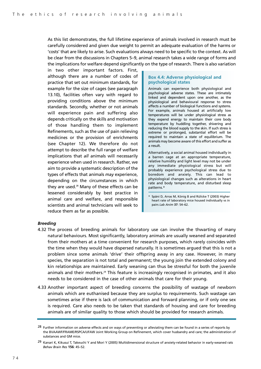As this list demonstrates, the full lifetime experience of animals involved in research must be carefully considered and given due weight to permit an adequate evaluation of the harms or 'costs' that are likely to arise. Such evaluations always need to be specific to the context. As will be clear from the discussions in Chapters 5–9, animal research takes a wide range of forms and the implications for welfare depend significantly on the type of research. There is also variation

in two other important factors. First, although there are a number of codes of practice that set out minimum standards, for example for the size of cages (see paragraph 13.10), facilities often vary with regard to providing conditions above the minimum standards. Secondly, whether or not animals will experience pain and suffering also depends critically on the skills and motivation of those handling them to implement Refinements, such as the use of pain relieving medicines or the provision of enrichments (see Chapter 12). We therefore do not attempt to describe the full range of welfare implications that *all* animals will necessarily experience when used in research. Rather, we aim to provide a systematic description of the types of effects that animals *may* experience, depending on the circumstances in which they are used.<sup>28</sup> Many of these effects can be lessened considerably by best practice in animal care and welfare, and responsible scientists and animal technicians will seek to reduce them as far as possible.

#### **Box 4.4: Adverse physiological and psychological states**

Animals can experience both physiological and psychological adverse states. These are intimately linked and dependent upon one another, as the physiological and behavioural response to stress affects a number of biological functions and systems. For example, animals housed at artificially low temperatures will be under physiological stress as they expend energy to maintain their core body temperature by huddling together, shivering and reducing the blood supply to the skin. If such stress is extreme or prolonged, substantial effort will be required to maintain a state of equilibrium. The animals may become aware of this effort and suffer as a result.

Alternatively, a social animal housed individually in a barren cage at an appropriate temperature, relative humidity and light level may not be under any immediate physiological stress but will probably experience psychological stress due to boredom and anxiety. This can lead to physiological changes such as alterations in heart rate and body temperature, and disturbed sleep patterns.\*

Späni D, Arras M, König B and Rülicke T (2003) Higher heart rate of laboratory mice housed individually vs in pairs *Lab Anim* **37**: 54–62.

#### *Breeding*

- 4.32 The process of breeding animals for laboratory use can involve the thwarting of many natural behaviours. Most significantly, laboratory animals are usually weaned and separated from their mothers at a time convenient for research purposes, which rarely coincides with the time when they would have dispersed naturally. It is sometimes argued that this is not a problem since some animals 'drive' their offspring away in any case. However, in many species, the separation is not total and permanent; the young join the extended colony and kin relationships are maintained. Early weaning can thus be stressful for both the juvenile animals and their mothers.<sup>29</sup> This feature is increasingly recognised in primates, and it also needs to be considered in the case of other animals that care for their young.
- 4.33 Another important aspect of breeding concerns the possibility of wastage of newborn animals which are euthanised because they are surplus to requirements. Such wastage can sometimes arise if there is lack of communication and forward planning, or if only one sex is required. Care also needs to be taken that standards of housing and care for breeding animals are of similar quality to those which should be provided for research animals.

<sup>&</sup>lt;sup>28</sup> Further information on adverse effects and on ways of preventing or alleviating them can be found in a series of reports by the BVAAWF/FRAME/RSPCA/UFAW Joint Working Group on Refinement, which cover husbandry and care; the administration of substances and GM mice.

<sup>29</sup> Kanari K, Kikusui T, Takeuchi Y and Mori Y (2005) Multidimensional structure of anxiety-related behavior in early-weaned rats *Behav Brain Res* **156**: 45–52.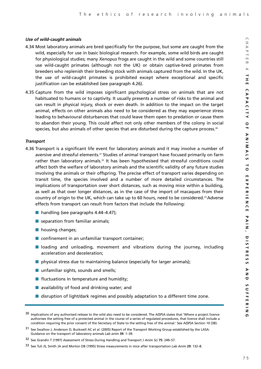# *Use of wild-caught animals*

- 4.34 Most laboratory animals are bred specifically for the purpose, but some are caught from the wild, especially for use in basic biological research. For example, some wild birds are caught for physiological studies; many *Xenopus* frogs are caught in the wild and some countries still use wild-caught primates (although not the UK) or obtain captive-bred primates from breeders who replenish their breeding stock with animals captured from the wild. In the UK, the use of wild-caught primates is prohibited except where exceptional and specific justification can be established (see paragraph 4.26).
- 4.35 Capture from the wild imposes significant psychological stress on animals that are not habituated to humans or to captivity. It usually presents a number of risks to the animal and can result in physical injury, shock or even death. In addition to the impact on the target animal, effects on other animals also need to be considered as they may experience stress leading to behavioural disturbances that could leave them open to predation or cause them to abandon their young. This could affect not only other members of the colony in social species, but also animals of other species that are disturbed during the capture process.<sup>30</sup>

# *Transport*

- 4.36 Transport is a significant life event for laboratory animals and it may involve a number of aversive and stressful elements.<sup>31</sup> Studies of animal transport have focused primarily on farm rather than laboratory animals.<sup>32</sup> It has been hypothesised that stressful conditions could affect both the welfare of laboratory animals and the scientific validity of any future studies involving the animals or their offspring. The precise effect of transport varies depending on transit time, the species involved and a number of more detailed circumstances. The implications of transportation over short distances, such as moving mice within a building, as well as that over longer distances, as in the case of the import of macaques from their country of origin to the UK, which can take up to 60 hours, need to be considered.33 Adverse effects from transport can result from factors that include the following:
	- handling (see paragraphs 4.44–4.47);
	- separation from familiar animals;
	- housing changes;
	- confinement in an unfamiliar transport container;
	- loading and unloading, movement and vibrations during the journey, including acceleration and deceleration;
	- $\blacksquare$  physical stress due to maintaining balance (especially for larger animals);
	- unfamiliar sights, sounds and smells;
	- fluctuations in temperature and humidity;
	- availability of food and drinking water; and
	- disruption of light/dark regimes and possibly adaptation to a different time zone.

 $\bigcap$  $\equiv$ 

<sup>30</sup> Implications of any authorised *release* to the wild also need to be considered. The A(SP)A states that 'Where a project licence authorises the setting free of a protected animal in the course of a series of regulated procedures, that licence shall include a condition requiring the prior consent of the Secretary of State to the setting free of the animal.' See A(SP)A Section 10 (3B).

<sup>31</sup> See Swallow J, Anderson D, Buckwell AC *et al*. (2005) Report of the Transport Working Group established by the LASA: Guidance on the transport of laboratory animals *Lab anim* **39**: 1–39.

<sup>32</sup> See Grandin T (1997) Assessment of Stress During Handling and Transport *J Anim Sci* **75**: 249–57.

<sup>33</sup> See Tuli JS, Smith JA and Morton DB (1995) Stress measurements in mice after transportation *Lab Anim* **29**: 132–8.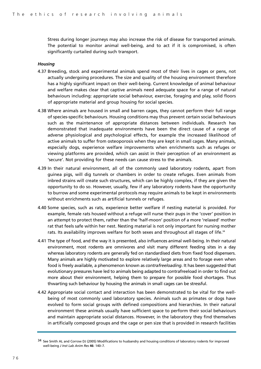Stress during longer journeys may also increase the risk of disease for transported animals. The potential to monitor animal well-being, and to act if it is compromised, is often significantly curtailed during such transport.

#### *Housing*

- 4.37 Breeding, stock and experimental animals spend most of their lives in cages or pens, not actually undergoing procedures. The size and quality of the housing environment therefore has a highly significant impact on their well-being. Current knowledge of animal behaviour and welfare makes clear that captive animals need adequate space for a range of natural behaviours including: appropriate social behaviour, exercise, foraging and play, solid floors of appropriate material and group housing for social species.
- 4.38 Where animals are housed in small and barren cages, they cannot perform their full range of species-specific behaviours. Housing conditions may thus prevent certain social behaviours such as the maintenance of appropriate distances between individuals. Research has demonstrated that inadequate environments have been the direct cause of a range of adverse physiological and psychological effects, for example the increased likelihood of active animals to suffer from osteoporosis when they are kept in small cages. Many animals, especially dogs, experience welfare improvements when enrichments such as refuges or viewing platforms are provided, which can assist in their perception of an environment as 'secure'. Not providing for these needs can cause stress to the animals.
- 4.39 In their natural environment, all of the commonly used laboratory rodents, apart from guinea pigs, will dig tunnels or chambers in order to create refuges. Even animals from inbred strains will create such structures, which can be highly complex, if they are given the opportunity to do so. However, usually, few if any laboratory rodents have the opportunity to burrow and some experimental protocols may require animals to be kept in environments without enrichments such as artificial tunnels or refuges.
- 4.40 Some species, such as rats, experience better welfare if nesting material is provided. For example, female rats housed without a refuge will nurse their pups in the 'cover' position in an attempt to protect them, rather than the 'half-moon' position of a more 'relaxed' mother rat that feels safe within her nest. Nesting material is not only important for nursing mother rats. Its availability improves welfare for both sexes and throughout all stages of life.<sup>34</sup>
- 4.41 The type of food, and the way it is presented, also influences animal well-being. In their natural environment, most rodents are omnivores and visit many different feeding sites in a day whereas laboratory rodents are generally fed on standardised diets from fixed food dispensers. Many animals are highly motivated to explore relatively large areas and to forage even when food is freely available, a phenomenon known as *contrafreeloading*. It has been suggested that evolutionary pressures have led to animals being adapted to contrafreeload in order to find out more about their environment, helping them to prepare for possible food shortages. Thus thwarting such behaviour by housing the animals in small cages can be stressful.
- 4.42 Appropriate social contact and interaction has been demonstrated to be vital for the wellbeing of most commonly used laboratory species. Animals such as primates or dogs have evolved to form social groups with defined compositions and hierarchies. In their natural environment these animals usually have sufficient space to perform their social behaviours and maintain appropriate social distances. However, in the laboratory they find themselves in artificially composed groups and the cage or pen size that is provided in research facilities

<sup>34</sup> See Smith AL and Corrow DJ (2005) Modifications to husbandry and housing conditions of laboratory rodents for improved well-being *J Inst Lab Anim Res* **46**: 140–7.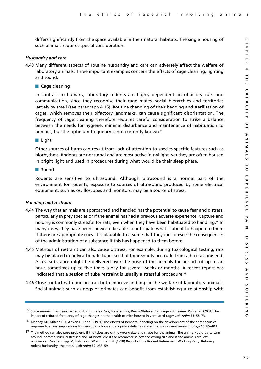differs significantly from the space available in their natural habitats. The single housing of such animals requires special consideration.

#### *Husbandry and care*

- 4.43 Many different aspects of routine husbandry and care can adversely affect the welfare of laboratory animals. Three important examples concern the effects of cage cleaning, lighting and sound.
	- Cage cleaning

In contrast to humans, laboratory rodents are highly dependent on olfactory cues and communication, since they recognise their cage mates, social hierarchies and territories largely by smell (see paragraph 4.16). Routine changing of their bedding and sterilisation of cages, which removes their olfactory landmarks, can cause significant disorientation. The frequency of cage cleaning therefore requires careful consideration to strike a balance between the needs for hygiene, minimal disturbance and maintenance of habituation to humans, but the optimum frequency is not currently known.<sup>35</sup>

■ Light

Other sources of harm can result from lack of attention to species-specific features such as biorhythms. Rodents are nocturnal and are most active in twilight, yet they are often housed in bright light and used in procedures during what would be their sleep phase.

■ Sound

Rodents are sensitive to ultrasound. Although ultrasound is a normal part of the environment for rodents, exposure to sources of ultrasound produced by some electrical equipment, such as oscilloscopes and monitors, may be a source of stress.

#### *Handling and restraint*

- 4.44 The way that animals are approached and handled has the potential to cause fear and distress, particularly in prey species or if the animal has had a previous adverse experience. Capture and holding is commonly stressful for rats, even when they have been habituated to handling.<sup>36</sup> In many cases, they have been shown to be able to anticipate what is about to happen to them if there are appropriate cues. It is plausible to assume that they can foresee the consequences of the administration of a substance if this has happened to them before.
- 4.45 Methods of restraint can also cause distress. For example, during toxicological testing, rats may be placed in polycarbonate tubes so that their snouts protrude from a hole at one end. A test substance might be delivered over the nose of the animals for periods of up to an hour, sometimes up to five times a day for several weeks or months. A recent report has indicated that a session of tube restraint is usually a stressful procedure.<sup>37</sup>
- 4.46 Close contact with humans can both improve and impair the welfare of laboratory animals. Social animals such as dogs or primates can benefit from establishing a relationship with

<sup>35</sup> Some research has been carried out in this area. See, for example, Reeb-Whitaker CK, Paigen B, Beamer WG *et al*. (2001) The impact of reduced frequency of cage changes on the health of mice housed in ventilated cages *Lab Anim* **35**: 58–73.

<sup>36</sup> Meaney MJ, Mitchell JB, Aitken DH *et al*. (1991) The effects of neonatal handling on the development of the adrenocortical response to stress: implications for neuropathology and cognitive deficits in later life *Psychoneuroendocrinology* **16**: 85–103.

<sup>&</sup>lt;sup>37</sup> The method can also pose problems if the tubes are of the wrong size and shape for the animal. The animal could try to turn around, become stuck, distressed and, at worst, die if the researcher selects the wrong size and if the animals are left unobserved. See Jennings M, Batchelor GR and Brain PF (1998) Report of the Rodent Refinement Working Party: Refining rodent husbandry: the mouse *Lab Anim* **32**: 233–59.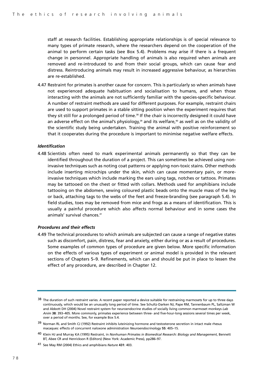staff at research facilities. Establishing appropriate relationships is of special relevance to many types of primate research, where the researchers depend on the cooperation of the animal to perform certain tasks (see Box 5.4). Problems may arise if there is a frequent change in personnel. Appropriate handling of animals is also required when animals are removed and re-introduced to and from their social groups, which can cause fear and distress. Reintroducing animals may result in increased aggressive behaviour, as hierarchies are re-established.

4.47 Restraint for primates is another cause for concern. This is particularly so when animals have not experienced adequate habituation and socialisation to humans, and when those interacting with the animals are not sufficiently familiar with the species-specific behaviour. A number of restraint methods are used for different purposes. For example, restraint chairs are used to support primates in a stable sitting position when the experiment requires that they sit still for a prolonged period of time.<sup>38</sup> If the chair is incorrectly designed it could have an adverse effect on the animal's physiology,<sup>39</sup> and its welfare,<sup>40</sup> as well as on the validity of the scientific study being undertaken. Training the animal with positive reinforcement so that it cooperates during the procedure is important to minimise negative welfare effects.

#### *Identification*

4.48 Scientists often need to mark experimental animals permanently so that they can be identified throughout the duration of a project. This can sometimes be achieved using noninvasive techniques such as noting coat patterns or applying non-toxic stains. Other methods include inserting microchips under the skin, which can cause momentary pain, or moreinvasive techniques which include marking the ears using tags, notches or tattoos. Primates may be tattooed on the chest or fitted with collars. Methods used for amphibians include tattooing on the abdomen, sewing coloured plastic beads onto the muscle mass of the leg or back, attaching tags to the webs of the feet and freeze-branding (see paragraph 5.4). In field studies, toes may be removed from mice and frogs as a means of identification. This is usually a painful procedure which also affects normal behaviour and in some cases the animals' survival chances.41

#### *Procedures and their effects*

4.49 The technical procedures to which animals are subjected can cause a range of negative states such as discomfort, pain, distress, fear and anxiety, either during or as a result of procedures. Some examples of common types of procedure are given below. More specific information on the effects of various types of experiment or animal model is provided in the relevant sections of Chapters 5–9. Refinements, which can and should be put in place to lessen the effect of any procedure, are described in Chapter 12.

<sup>38</sup> The duration of such restraint varies. A recent paper reported a device suitable for restraining marmosets for up to three days continuously, which would be an unusually long period of time. See Schultz-Darken NJ, Pape RM, Tannenbaum PL, Saltzman W and Abbott DH (2004) Novel restraint system for neuroendocrine studies of socially living common marmoset monkeys *Lab Anim* **38**: 393–405. More commonly, primates experience between three- and five-hour-long sessions several times per week, over a period of months. See, for example Box 5.4.

<sup>39</sup> Norman RL and Smith CJ (1992) Restraint inhibits luteinizing hormone and testosterone secretion in intact male rhesus macaques: effects of concurrent naloxone administration *Neuroendocrinology* **55**: 405–15.

<sup>40</sup> Klein HJ and Murray KA (1995) Restraint, in *Nonhuman Primates in Biomedical Research: Biology and Management*, Bennett BT, Abee CR and Henrickson R (Editors) (New York: Academic Press), pp286–97.

<sup>41</sup> See May RM (2004) Ethics and amphibians *Nature* **431**: 403.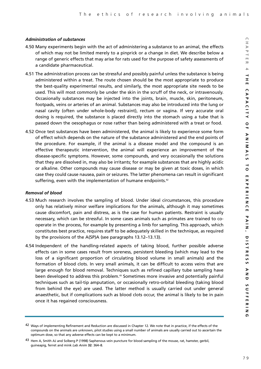# *Administration of substances*

- 4.50 Many experiments begin with the act of administering a substance to an animal, the effects of which may not be limited merely to a pinprick or a change in diet. We describe below a range of generic effects that may arise for rats used for the purpose of safety assessments of a candidate pharmaceutical.
- 4.51 The administration process can be stressful and possibly painful unless the substance is being administered within a treat. The route chosen should be the most appropriate to produce the best-quality experimental results, and similarly, the most appropriate site needs to be used. This will most commonly be under the skin in the scruff of the neck, or intravenously. Occasionally substances may be injected into the joints, brain, muscle, skin, peritoneum, footpads, veins or arteries of an animal. Substances may also be introduced into the lung or nasal cavity (often under whole-body restraint), rectum or vagina. If very accurate oral dosing is required, the substance is placed directly into the stomach using a tube that is passed down the oesophagus or nose rather than being administered with a treat or food.
- 4.52 Once test substances have been administered, the animal is likely to experience some form of effect which depends on the nature of the substance administered and the end points of the procedure. For example, if the animal is a disease model and the compound is an effective therapeutic intervention, the animal will experience an improvement of the disease-specific symptoms. However, some compounds, and very occasionally the solutions that they are dissolved in, may also be irritants; for example substances that are highly acidic or alkaline. Other compounds may cause disease or may be given at toxic doses, in which case they could cause nausea, pain or seizures. The latter phenomena can result in significant suffering, even with the implementation of humane endpoints.<sup>42</sup>

# *Removal of blood*

- 4.53 Much research involves the sampling of blood. Under ideal circumstances, this procedure only has relatively minor welfare implications for the animals, although it may sometimes cause discomfort, pain and distress, as is the case for human patients. Restraint is usually necessary, which can be stressful. In some cases animals such as primates are trained to cooperate in the process, for example by presenting a limb for sampling. This approach, which constitutes best practice, requires staff to be adequately skilled in the technique, as required by the provisions of the A(SP)A (see paragraphs 13.12–13.13).
- 4.54 Independent of the handling-related aspects of taking blood, further possible adverse effects can in some cases result from soreness, persistent bleeding (which may lead to the loss of a significant proportion of circulating blood volume in small animals) and the formation of blood clots. In very small animals, it can be difficult to access veins that are large enough for blood removal. Techniques such as refined capillary tube sampling have been developed to address this problem.43 Sometimes more invasive and potentially painful techniques such as tail-tip amputation, or occasionally retro-orbital bleeding (taking blood from behind the eye) are used. The latter method is usually carried out under general anaesthetic, but if complications such as blood clots occur, the animal is likely to be in pain once it has regained consciousness.

<sup>42</sup> Ways of implementing Refinement and Reduction are discussed in Chapter 12. We note that in practice, if the effects of the compounds on the animals are unknown, pilot studies using a small number of animals are usually carried out to ascertain the optimum dose, so that any adverse effects can be kept to a minimum.

<sup>43</sup> Hem A, Smith AJ and Solberg P (1998) Saphenous vein puncture for blood sampling of the mouse, rat, hamster, gerbil, guineapig, ferret and mink *Lab Anim* **32**: 364–8.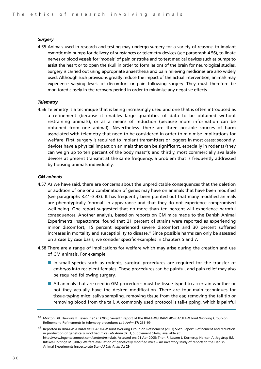#### *Surgery*

4.55 Animals used in research and testing may undergo surgery for a variety of reasons: to implant osmotic minipumps for delivery of substances or telemetry devices (see paragraph 4.56), to ligate nerves or blood vessels for 'models' of pain or stroke and to test medical devices such as pumps to assist the heart or to open the skull in order to form lesions of the brain for neurological studies. Surgery is carried out using appropriate anaesthesia and pain relieving medicines are also widely used. Although such provisions greatly reduce the impact of the actual intervention, animals may experience varying levels of discomfort or pain following surgery. They must therefore be monitored closely in the recovery period in order to minimise any negative effects.

#### *Telemetry*

4.56 Telemetry is a technique that is being increasingly used and one that is often introduced as a refinement (because it enables large quantities of data to be obtained without restraining animals), or as a means of reduction (because more information can be obtained from one animal). Nevertheless, there are three possible sources of harm associated with telemetry that need to be considered in order to minimise implications for welfare. First, surgery is required to implant transmitters or loggers in most cases; secondly, devices have a physical impact on animals that can be significant, especially in rodents (they can weigh up to ten percent of the body mass $44$ ); and thirdly, most commercially available devices at present transmit at the same frequency, a problem that is frequently addressed by housing animals individually.

#### *GM animals*

- 4.57 As we have said, there are concerns about the unpredictable consequences that the deletion or addition of one or a combination of genes may have on animals that have been modified (see paragraphs 3.41–3.43). It has frequently been pointed out that many modified animals are phenotypically 'normal' in appearance and that they do not experience compromised well-being. One report suggested that no more than ten percent will experience harmful consequences. Another analysis, based on reports on GM mice made to the Danish Animal Experiments Inspectorate, found that 21 percent of strains were reported as experiencing minor discomfort, 15 percent experienced severe discomfort and 30 percent suffered increases in mortality and susceptibility to disease.<sup>45</sup> Since possible harms can only be assessed on a case by case basis, we consider specific examples in Chapters 5 and 7.
- 4.58 There are a range of implications for welfare which may arise during the creation and use of GM animals. For example:
	- In small species such as rodents, surgical procedures are required for the transfer of embryos into recipient females. These procedures can be painful, and pain relief may also be required following surgery.
	- All animals that are used in GM procedures must be tissue-typed to ascertain whether or not they actually have the desired modification. There are four main techniques for tissue-typing mice: saliva sampling, removing tissue from the ear, removing the tail tip or removing blood from the tail. A commonly used protocol is tail-tipping, which is painful

<sup>44</sup> Morton DB, Hawkins P, Bevan R *et al*. (2003) Seventh report of the BVAAWF/FRAME/RSPCA/UFAW Joint Working Group on Refinement: Refinements in telemetry procedures *Lab Anim* **37**: 261–99.

<sup>45</sup> Reported in BVAAWF/FRAME/RSPCA/UFAW Joint Working Group on Refinement (2003) Sixth Report: Refinement and reduction in production of genetically modified mice *Lab Anim* **37**: 3, Supplement S1–49, available at: http://www.ingentaconnect.com/content/rsm/lab. Accessed on: 21 Apr 2005; Thon R, Lassen J, Kornerup Hansen A, Jegstrup IM, Ritskes-Hoitinga M (2002) Welfare evaluation of genetically modified mice – An inventory study of reports to the Danish Animal Experiments Inspectorate *Scand J Lab Anim Sci* **29**.